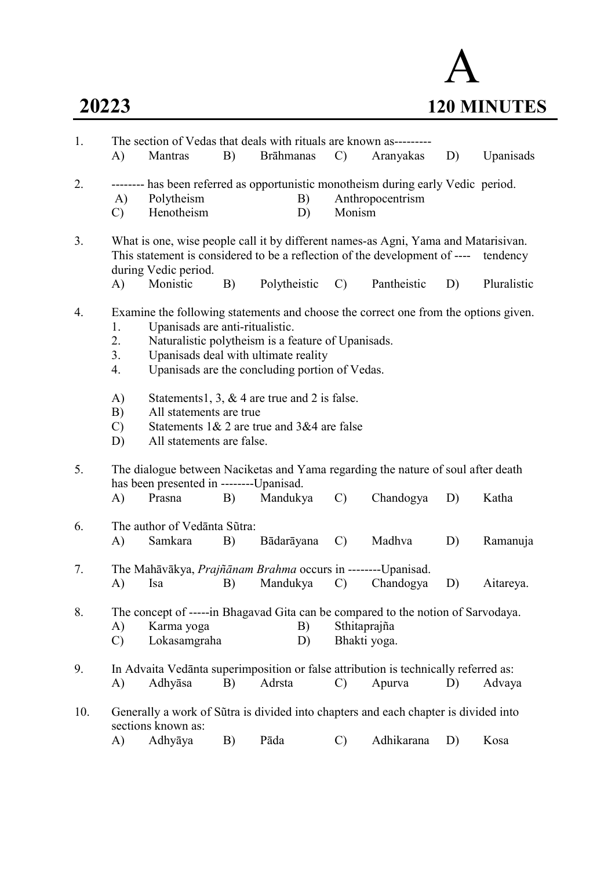

| 1.  | A)                   | Mantras                                            | B) | The section of Vedas that deals with rituals are known as---------<br><b>Brāhmanas</b>                                                                                                                                              | $\mathcal{C}$ | Aranyakas        | D) | Upanisads   |
|-----|----------------------|----------------------------------------------------|----|-------------------------------------------------------------------------------------------------------------------------------------------------------------------------------------------------------------------------------------|---------------|------------------|----|-------------|
| 2.  | A)<br>$\mathcal{C}$  | Polytheism<br>Henotheism                           |    | -------- has been referred as opportunistic monotheism during early Vedic period.<br>B)<br>D)                                                                                                                                       | Monism        | Anthropocentrism |    |             |
| 3.  |                      | during Vedic period.                               |    | What is one, wise people call it by different names-as Agni, Yama and Matarisivan.<br>This statement is considered to be a reflection of the development of ----                                                                    |               |                  |    | tendency    |
|     | A)                   | Monistic                                           | B) | Polytheistic                                                                                                                                                                                                                        | $\mathcal{C}$ | Pantheistic      | D) | Pluralistic |
| 4.  | 1.<br>2.<br>3.<br>4. | Upanisads are anti-ritualistic.                    |    | Examine the following statements and choose the correct one from the options given.<br>Naturalistic polytheism is a feature of Upanisads.<br>Upanisads deal with ultimate reality<br>Upanisads are the concluding portion of Vedas. |               |                  |    |             |
|     | A)                   |                                                    |    | Statements 1, 3, $&$ 4 are true and 2 is false.                                                                                                                                                                                     |               |                  |    |             |
|     | B)                   | All statements are true                            |    | Statements $1 & 2$ are true and $3 & 4$ are false                                                                                                                                                                                   |               |                  |    |             |
|     | $\mathcal{C}$<br>D)  | All statements are false.                          |    |                                                                                                                                                                                                                                     |               |                  |    |             |
| 5.  |                      |                                                    |    | The dialogue between Naciketas and Yama regarding the nature of soul after death                                                                                                                                                    |               |                  |    |             |
|     | A)                   | has been presented in ---------Upanisad.<br>Prasna | B) | Mandukya                                                                                                                                                                                                                            | $\mathcal{C}$ | Chandogya        | D) | Katha       |
|     |                      |                                                    |    |                                                                                                                                                                                                                                     |               |                  |    |             |
| 6.  | A)                   | The author of Vedanta Sutra:<br>Samkara            | B) | Bādarāyana                                                                                                                                                                                                                          | $\mathcal{C}$ | Madhva           | D) | Ramanuja    |
| 7.  |                      |                                                    |    | The Mahāvākya, Prajñānam Brahma occurs in --------Upanisad.                                                                                                                                                                         |               |                  |    |             |
|     | A)                   | Isa                                                | B) | Mandukya                                                                                                                                                                                                                            | $\mathcal{C}$ | Chandogya        | D) | Aitareya.   |
| 8.  | A)                   | Karma yoga                                         |    | The concept of -----in Bhagavad Gita can be compared to the notion of Sarvodaya.<br>B)                                                                                                                                              | Sthitaprajña  |                  |    |             |
|     | $\mathcal{C}$        | Lokasamgraha                                       |    | D)                                                                                                                                                                                                                                  | Bhakti yoga.  |                  |    |             |
| 9.  |                      |                                                    |    | In Advaita Vedanta superimposition or false attribution is technically referred as:                                                                                                                                                 |               |                  |    |             |
|     | A)                   | Adhyāsa                                            | B) | Adrsta                                                                                                                                                                                                                              | $\mathcal{C}$ | Apurva           | D) | Advaya      |
| 10. |                      | sections known as:                                 |    | Generally a work of Sũtra is divided into chapters and each chapter is divided into                                                                                                                                                 |               |                  |    |             |
|     | A)                   | Adhyāya                                            | B) | Pāda                                                                                                                                                                                                                                | $\mathcal{C}$ | Adhikarana       | D) | Kosa        |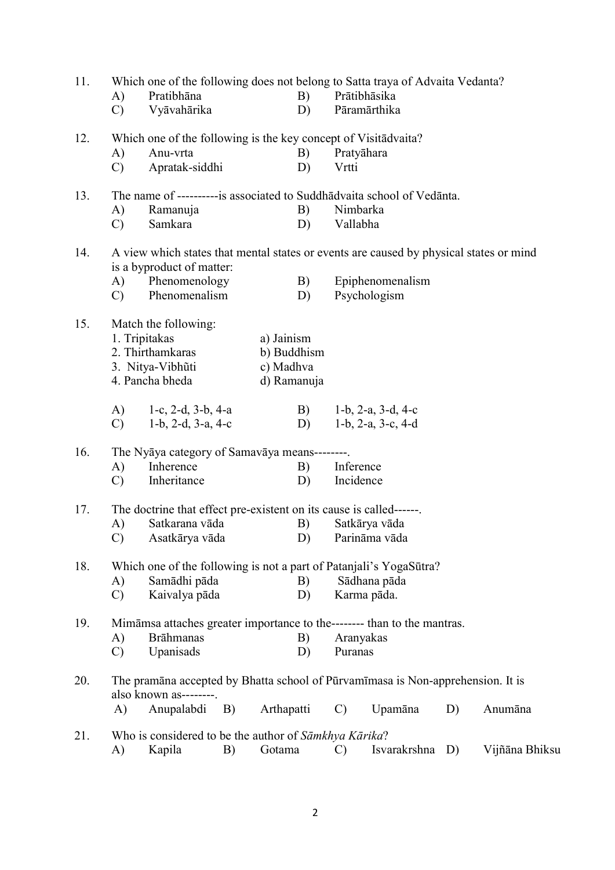| 11. |               |                                                                     |    |             |               | Which one of the following does not belong to Satta traya of Advaita Vedanta?          |    |                |
|-----|---------------|---------------------------------------------------------------------|----|-------------|---------------|----------------------------------------------------------------------------------------|----|----------------|
|     | A)            | Pratibhāna                                                          |    | B)          |               | Prātibhāsika                                                                           |    |                |
|     | $\mathbf{C}$  | Vyāvahārika                                                         |    | D)          |               | Pāramārthika                                                                           |    |                |
| 12. |               | Which one of the following is the key concept of Visita dvaita?     |    |             |               |                                                                                        |    |                |
|     | A)            | Anu-vrta                                                            |    | B)          |               | Pratyāhara                                                                             |    |                |
|     | $\mathcal{C}$ | Apratak-siddhi                                                      |    | D)          | Vrtti         |                                                                                        |    |                |
| 13. |               |                                                                     |    |             |               | The name of ----------is associated to Suddhādvaita school of Vedānta.                 |    |                |
|     | A)            | Ramanuja                                                            |    | B)          |               | Nimbarka                                                                               |    |                |
|     | $\mathcal{C}$ | Samkara                                                             |    | D)          | Vallabha      |                                                                                        |    |                |
| 14. |               | is a byproduct of matter:                                           |    |             |               | A view which states that mental states or events are caused by physical states or mind |    |                |
|     | A)            | Phenomenology                                                       |    | B)          |               | Epiphenomenalism                                                                       |    |                |
|     | $\mathbf{C}$  | Phenomenalism                                                       |    | D)          |               | Psychologism                                                                           |    |                |
| 15. |               | Match the following:                                                |    |             |               |                                                                                        |    |                |
|     |               | 1. Tripitakas                                                       |    | a) Jainism  |               |                                                                                        |    |                |
|     |               | 2. Thirthamkaras                                                    |    | b) Buddhism |               |                                                                                        |    |                |
|     |               | 3. Nitya-Vibhūti                                                    |    | c) Madhva   |               |                                                                                        |    |                |
|     |               | 4. Pancha bheda                                                     |    | d) Ramanuja |               |                                                                                        |    |                |
|     | A)            | 1-c, $2-d$ , $3-b$ , $4-a$                                          |    | B)          |               | 1-b, $2-a$ , $3-d$ , $4-c$                                                             |    |                |
|     | $\mathcal{C}$ | 1-b, 2-d, 3-a, 4-c                                                  |    | D)          |               | 1-b, 2-a, 3-c, 4-d                                                                     |    |                |
| 16. |               | The Nyāya category of Samavāya means--------.                       |    |             |               |                                                                                        |    |                |
|     | A)            | Inherence                                                           |    | B)          | Inference     |                                                                                        |    |                |
|     | $\mathcal{C}$ | Inheritance                                                         |    | D)          | Incidence     |                                                                                        |    |                |
| 17. |               | The doctrine that effect pre-existent on its cause is called------. |    |             |               |                                                                                        |    |                |
|     | A)            | Satkarana vāda                                                      |    | B)          |               | Satkārya vāda                                                                          |    |                |
|     | $\mathcal{C}$ | Asatkārya vāda                                                      |    |             |               | D) Parināma vāda                                                                       |    |                |
| 18. |               |                                                                     |    |             |               | Which one of the following is not a part of Patanjali's YogaSūtra?                     |    |                |
|     | A)            | Samādhi pāda                                                        |    | B)          |               | Sādhana pāda                                                                           |    |                |
|     | $\mathcal{C}$ | Kaivalya pāda                                                       |    | D)          |               | Karma pāda.                                                                            |    |                |
|     |               |                                                                     |    |             |               |                                                                                        |    |                |
| 19. |               | <b>Brāhmanas</b>                                                    |    |             |               | Mimāmsa attaches greater importance to the-------- than to the mantras.                |    |                |
|     | A)            |                                                                     |    | B)          |               | Aranyakas                                                                              |    |                |
|     | $\mathcal{C}$ | Upanisads                                                           |    | D)          | Puranas       |                                                                                        |    |                |
| 20. |               | also known as--------.                                              |    |             |               | The pramāna accepted by Bhatta school of Pūrvamīmasa is Non-apprehension. It is        |    |                |
|     | A)            | Anupalabdi                                                          | B) | Arthapatti  | $\mathcal{C}$ | Upamāna                                                                                | D) | Anumāna        |
| 21. |               | Who is considered to be the author of Sāmkhya Kārika?               |    |             |               |                                                                                        |    |                |
|     | A)            | Kapila                                                              | B) | Gotama      | $\mathcal{C}$ | Isvarakrshna                                                                           | D) | Vijñāna Bhiksu |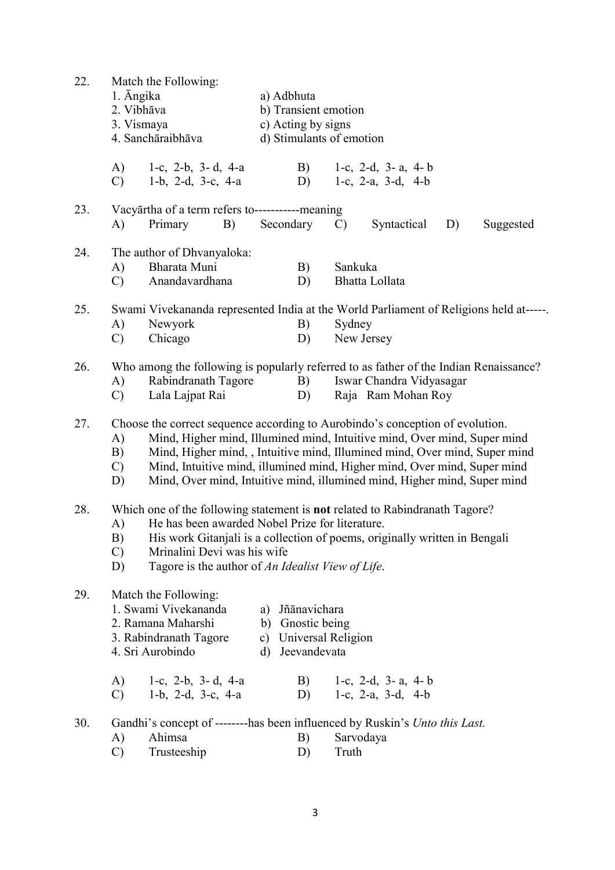| 22. | 1. Angika<br>2. Vibhāva<br>3. Vismaya | Match the Following:<br>4. Sanchāraibhāva                                                                                                                                                                                                                                                                                                                                                       | a) Adbhuta<br>b) Transient emotion<br>c) Acting by signs<br>d) Stimulants of emotion |                                                                               |                                                  |    |           |  |  |  |
|-----|---------------------------------------|-------------------------------------------------------------------------------------------------------------------------------------------------------------------------------------------------------------------------------------------------------------------------------------------------------------------------------------------------------------------------------------------------|--------------------------------------------------------------------------------------|-------------------------------------------------------------------------------|--------------------------------------------------|----|-----------|--|--|--|
|     | A)<br>$\mathcal{C}$                   | 1-c, 2-b, 3-d, 4-a<br>1-b, 2-d, 3-c, $4-a$                                                                                                                                                                                                                                                                                                                                                      |                                                                                      | B)<br>D)                                                                      | 1-c, 2-d, 3-a, 4-b<br>1-c, 2-a, 3-d, 4-b         |    |           |  |  |  |
| 23. | A)                                    | Vacyārtha of a term refers to-----------meaning<br>Primary<br>B)                                                                                                                                                                                                                                                                                                                                | Secondary                                                                            | $\mathcal{C}$                                                                 | Syntactical                                      | D) | Suggested |  |  |  |
| 24. | A)<br>$\mathcal{C}$                   | The author of Dhvanyaloka:<br>Bharata Muni<br>Anandavardhana                                                                                                                                                                                                                                                                                                                                    |                                                                                      | B)<br>D)                                                                      | Sankuka<br>Bhatta Lollata                        |    |           |  |  |  |
| 25. | A)<br>$\mathcal{C}$                   | Swami Vivekananda represented India at the World Parliament of Religions held at-----.<br>Newyork<br>Chicago                                                                                                                                                                                                                                                                                    |                                                                                      | B)<br>D)                                                                      | Sydney<br>New Jersey                             |    |           |  |  |  |
| 26. | A)<br>$\mathbf{C}$                    | Who among the following is popularly referred to as father of the Indian Renaissance?<br>Rabindranath Tagore<br>Lala Lajpat Rai                                                                                                                                                                                                                                                                 |                                                                                      | B)<br>D)                                                                      | Iswar Chandra Vidyasagar<br>Raja Ram Mohan Roy   |    |           |  |  |  |
| 27. | A)<br>B)<br>$\mathcal{C}$<br>D)       | Choose the correct sequence according to Aurobindo's conception of evolution.<br>Mind, Higher mind, Illumined mind, Intuitive mind, Over mind, Super mind<br>Mind, Higher mind, , Intuitive mind, Illumined mind, Over mind, Super mind<br>Mind, Intuitive mind, illumined mind, Higher mind, Over mind, Super mind<br>Mind, Over mind, Intuitive mind, illumined mind, Higher mind, Super mind |                                                                                      |                                                                               |                                                  |    |           |  |  |  |
| 28. | A)<br>B)<br>$\mathcal{C}$<br>D)       | Which one of the following statement is <b>not</b> related to Rabindranath Tagore?<br>He has been awarded Nobel Prize for literature.<br>His work Gitanjali is a collection of poems, originally written in Bengali<br>Mrinalini Devi was his wife<br>Tagore is the author of An Idealist View of Life.                                                                                         |                                                                                      |                                                                               |                                                  |    |           |  |  |  |
| 29. |                                       | Match the Following:<br>1. Swami Vivekananda<br>2. Ramana Maharshi<br>3. Rabindranath Tagore<br>4. Sri Aurobindo                                                                                                                                                                                                                                                                                | a)<br>$\mathbf{c})$<br>d)                                                            | Jñānavichara<br>b) Gnostic being<br><b>Universal Religion</b><br>Jeevandevata |                                                  |    |           |  |  |  |
|     | A)<br>$\mathbf{C}$                    | 1-c, 2-b, 3-d, 4-a<br>1-b, 2-d, 3-c, 4-a                                                                                                                                                                                                                                                                                                                                                        |                                                                                      | B)<br>D)                                                                      | 1-c, 2-d, 3-a, 4-b<br>1-c, $2-a$ , $3-d$ , $4-b$ |    |           |  |  |  |
| 30. | A)<br>$\mathcal{C}$                   | Gandhi's concept of --------has been influenced by Ruskin's Unto this Last.<br>Ahimsa<br>Trusteeship                                                                                                                                                                                                                                                                                            |                                                                                      | B)<br>D)                                                                      | Sarvodaya<br>Truth                               |    |           |  |  |  |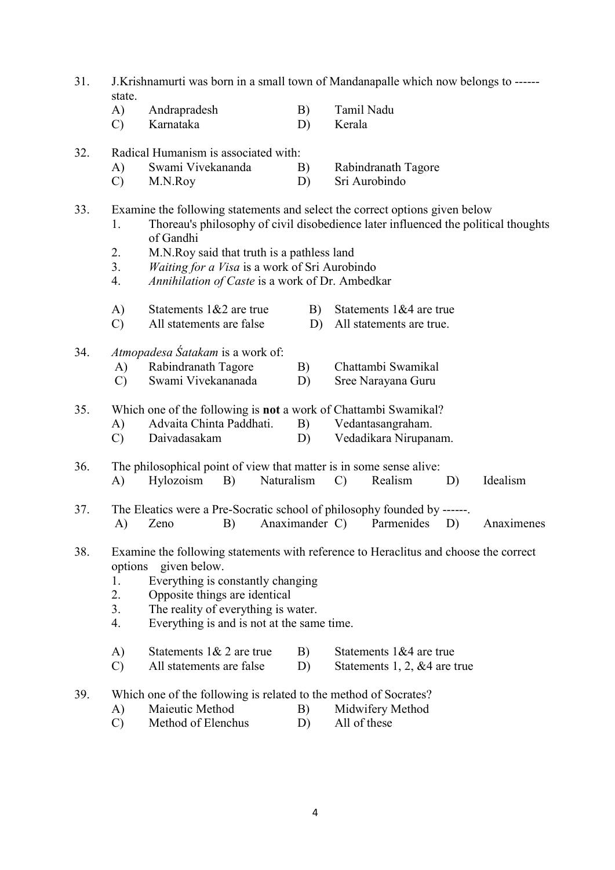- 31. J.Krishnamurti was born in a small town of Mandanapalle which now belongs to ----- state.
	- A) Andrapradesh B) Tamil Nadu
	- C) Karnataka D) Kerala

### 32. Radical Humanism is associated with:

- A) Swami Vivekananda B) Rabindranath Tagore
- C) M.N.Roy D) Sri Aurobindo
- 33. Examine the following statements and select the correct options given below
	- 1. Thoreau's philosophy of civil disobedience later influenced the political thoughts of Gandhi
	- 2. M.N.Roy said that truth is a pathless land
	- 3. Waiting for a Visa is a work of Sri Aurobindo
	- 4. Annihilation of Caste is a work of Dr. Ambedkar
	- A) Statements  $1&2$  are true B) Statements  $1&4$  are true
	- C) All statements are false D) All statements are true.
- 34. Atmopadesa Śatakam is a work of:
	- A) Rabindranath Tagore B) Chattambi Swamikal
	- C) Swami Vivekananada D) Sree Narayana Guru

#### 35. Which one of the following is not a work of Chattambi Swamikal?

- A) Advaita Chinta Paddhati. B) Vedantasangraham.
- C) Daivadasakam D) Vedadikara Nirupanam.

## 36. The philosophical point of view that matter is in some sense alive: A) Hylozoism B) Naturalism C) Realism D) Idealism

- 37. The Eleatics were a Pre-Socratic school of philosophy founded by ------. A) Zeno B) Anaximander C) Parmenides D) Anaximenes
- 38. Examine the following statements with reference to Heraclitus and choose the correct options given below.
	- 1. Everything is constantly changing
	- 2. Opposite things are identical
	- 3. The reality of everything is water.
	- 4. Everything is and is not at the same time.
	- A) Statements 1& 2 are true B) Statements 1&4 are true
	- C) All statements are false D) Statements 1, 2, &4 are true

# 39. Which one of the following is related to the method of Socrates?

- A) Maieutic Method B) Midwifery Method
- C) Method of Elenchus D) All of these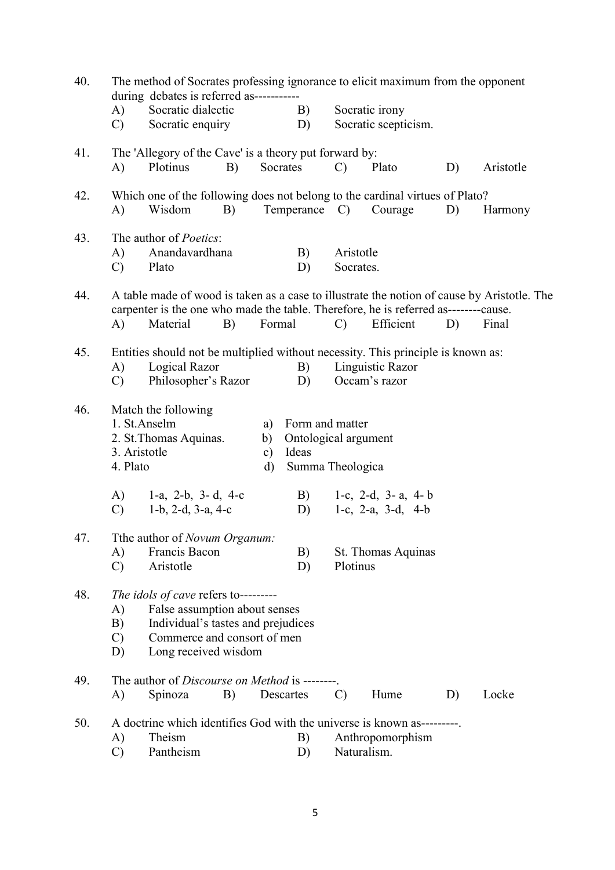| 40. |                                                                                                                                                                                          | during debates is referred as-----------                                                                    |        | The method of Socrates professing ignorance to elicit maximum from the opponent |                               |                                 |                                        |       |    |           |  |
|-----|------------------------------------------------------------------------------------------------------------------------------------------------------------------------------------------|-------------------------------------------------------------------------------------------------------------|--------|---------------------------------------------------------------------------------|-------------------------------|---------------------------------|----------------------------------------|-------|----|-----------|--|
|     | A)<br>$\mathcal{C}$                                                                                                                                                                      | Socratic dialectic<br>Socratic enquiry                                                                      |        |                                                                                 | B)<br>D)                      |                                 | Socratic irony<br>Socratic scepticism. |       |    |           |  |
| 41. | A)                                                                                                                                                                                       | The 'Allegory of the Cave' is a theory put forward by:<br>Plotinus                                          | B)     |                                                                                 | Socrates                      | $\mathcal{C}$                   | Plato                                  |       | D) | Aristotle |  |
|     |                                                                                                                                                                                          |                                                                                                             |        |                                                                                 |                               |                                 |                                        |       |    |           |  |
| 42. | A)                                                                                                                                                                                       | Which one of the following does not belong to the cardinal virtues of Plato?<br>Wisdom                      | B)     |                                                                                 | Temperance C)                 |                                 | Courage                                |       | D) | Harmony   |  |
| 43. |                                                                                                                                                                                          | The author of <i>Poetics</i> :                                                                              |        |                                                                                 |                               |                                 |                                        |       |    |           |  |
|     | A)<br>$\mathcal{C}$                                                                                                                                                                      | Anandavardhana<br>Plato                                                                                     |        |                                                                                 | B)<br>D)                      | Aristotle<br>Socrates.          |                                        |       |    |           |  |
| 44. | A table made of wood is taken as a case to illustrate the notion of cause by Aristotle. The<br>carpenter is the one who made the table. Therefore, he is referred as--------cause.<br>B) |                                                                                                             |        |                                                                                 |                               |                                 |                                        |       |    |           |  |
|     | A)                                                                                                                                                                                       | Material                                                                                                    | Formal | $\mathcal{C}$                                                                   | Efficient                     |                                 | D)                                     | Final |    |           |  |
| 45. | Entities should not be multiplied without necessity. This principle is known as:                                                                                                         |                                                                                                             |        |                                                                                 |                               |                                 |                                        |       |    |           |  |
|     | Logical Razor<br>A)                                                                                                                                                                      |                                                                                                             |        |                                                                                 | B)                            |                                 | Linguistic Razor                       |       |    |           |  |
|     | $\mathcal{C}$                                                                                                                                                                            | Philosopher's Razor                                                                                         |        |                                                                                 | D)                            |                                 | Occam's razor                          |       |    |           |  |
| 46. |                                                                                                                                                                                          | Match the following                                                                                         |        |                                                                                 |                               |                                 |                                        |       |    |           |  |
|     |                                                                                                                                                                                          | 1. St.Anselm                                                                                                |        | a)                                                                              | Form and matter               |                                 |                                        |       |    |           |  |
|     | 3. Aristotle                                                                                                                                                                             | 2. St. Thomas Aquinas.                                                                                      |        | b)<br>$\mathbf{c})$                                                             | Ontological argument<br>Ideas |                                 |                                        |       |    |           |  |
|     | 4. Plato                                                                                                                                                                                 |                                                                                                             |        | Summa Theologica<br>d)                                                          |                               |                                 |                                        |       |    |           |  |
|     | A)                                                                                                                                                                                       | 1-a, 2-b, 3-d, 4-c                                                                                          |        |                                                                                 | B)                            |                                 | 1-c, 2-d, 3-a, 4-b                     |       |    |           |  |
|     | $\mathcal{C}$                                                                                                                                                                            | 1-b, 2-d, 3-a, 4-c                                                                                          |        |                                                                                 | D)                            |                                 | 1-c, 2-a, 3-d, $4-b$                   |       |    |           |  |
| 47. |                                                                                                                                                                                          | Tthe author of Novum Organum:                                                                               |        |                                                                                 |                               |                                 |                                        |       |    |           |  |
|     | A)                                                                                                                                                                                       | Francis Bacon                                                                                               |        |                                                                                 | B)                            |                                 | St. Thomas Aquinas                     |       |    |           |  |
|     | $\mathcal{C}$                                                                                                                                                                            | Aristotle                                                                                                   |        |                                                                                 | D)                            | Plotinus                        |                                        |       |    |           |  |
| 48. | A)<br>B)                                                                                                                                                                                 | The idols of cave refers to---------<br>False assumption about senses<br>Individual's tastes and prejudices |        |                                                                                 |                               |                                 |                                        |       |    |           |  |
|     | $\mathcal{C}$<br>D)                                                                                                                                                                      | Commerce and consort of men<br>Long received wisdom                                                         |        |                                                                                 |                               |                                 |                                        |       |    |           |  |
| 49. | A)                                                                                                                                                                                       | The author of <i>Discourse on Method</i> is -------<br>Spinoza                                              | B)     |                                                                                 | Descartes                     | $\mathcal{C}$                   | Hume                                   |       | D) | Locke     |  |
| 50. | A)                                                                                                                                                                                       | A doctrine which identifies God with the universe is known as---------<br>Theism                            |        |                                                                                 | B)                            |                                 |                                        |       |    |           |  |
|     | $\mathcal{C}$                                                                                                                                                                            | Pantheism                                                                                                   |        |                                                                                 | D)                            | Anthropomorphism<br>Naturalism. |                                        |       |    |           |  |
|     |                                                                                                                                                                                          |                                                                                                             |        |                                                                                 |                               |                                 |                                        |       |    |           |  |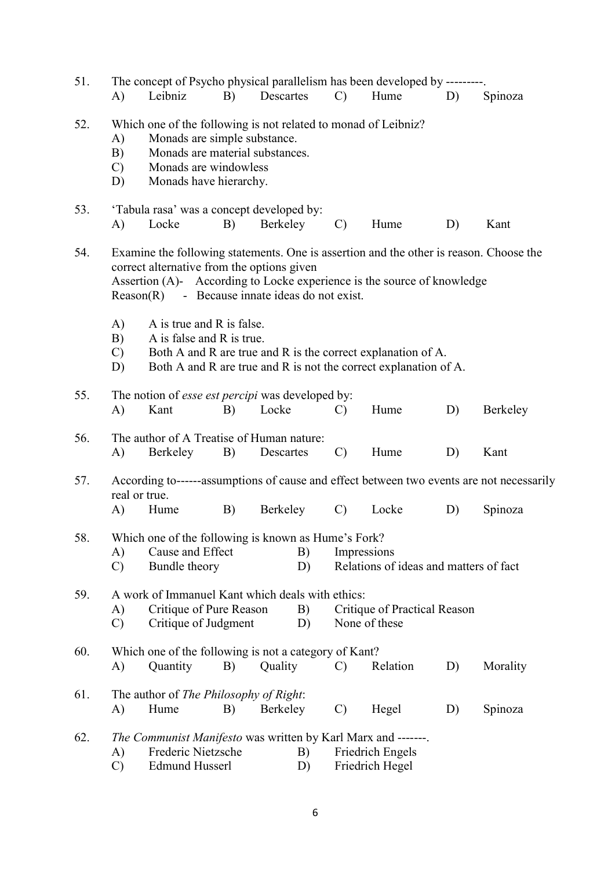| 51. |                                                                                                                                                                                                                               |                                                                                                                                                                                      |    |           |          |               | The concept of Psycho physical parallelism has been developed by ---------.                                                                                       |    |                                                                                          |
|-----|-------------------------------------------------------------------------------------------------------------------------------------------------------------------------------------------------------------------------------|--------------------------------------------------------------------------------------------------------------------------------------------------------------------------------------|----|-----------|----------|---------------|-------------------------------------------------------------------------------------------------------------------------------------------------------------------|----|------------------------------------------------------------------------------------------|
|     | A)                                                                                                                                                                                                                            | Leibniz                                                                                                                                                                              | B) | Descartes |          | $\mathcal{C}$ | Hume                                                                                                                                                              | D) | Spinoza                                                                                  |
| 52. | A)<br>B)<br>$\mathcal{C}$<br>D)                                                                                                                                                                                               | Which one of the following is not related to monad of Leibniz?<br>Monads are simple substance.<br>Monads are material substances.<br>Monads are windowless<br>Monads have hierarchy. |    |           |          |               |                                                                                                                                                                   |    |                                                                                          |
| 53. | A)                                                                                                                                                                                                                            | 'Tabula rasa' was a concept developed by:<br>Locke                                                                                                                                   | B) | Berkeley  |          | $\mathcal{C}$ | Hume                                                                                                                                                              | D) | Kant                                                                                     |
| 54. |                                                                                                                                                                                                                               | correct alternative from the options given<br>$Reason(R)$ - Because innate ideas do not exist.                                                                                       |    |           |          |               | Examine the following statements. One is assertion and the other is reason. Choose the<br>Assertion (A)- According to Locke experience is the source of knowledge |    |                                                                                          |
|     | A)<br>A is true and R is false.<br>B)<br>A is false and R is true.<br>Both A and R are true and R is the correct explanation of A.<br>$\mathcal{C}$<br>Both A and R are true and R is not the correct explanation of A.<br>D) |                                                                                                                                                                                      |    |           |          |               |                                                                                                                                                                   |    |                                                                                          |
| 55. | A)                                                                                                                                                                                                                            | The notion of <i>esse est percipi</i> was developed by:<br>Kant                                                                                                                      | B) | Locke     |          | $\mathcal{C}$ | Hume                                                                                                                                                              | D) | Berkeley                                                                                 |
| 56. | A)                                                                                                                                                                                                                            | The author of A Treatise of Human nature:<br>Berkeley                                                                                                                                | B) | Descartes |          | $\mathcal{C}$ | Hume                                                                                                                                                              | D) | Kant                                                                                     |
| 57. | real or true.                                                                                                                                                                                                                 |                                                                                                                                                                                      |    |           |          |               |                                                                                                                                                                   |    | According to------assumptions of cause and effect between two events are not necessarily |
|     | A)                                                                                                                                                                                                                            | Hume                                                                                                                                                                                 | B) | Berkeley  |          | $\mathcal{C}$ | Locke                                                                                                                                                             | D) | Spinoza                                                                                  |
| 58. | A)<br>$\mathcal{C}$                                                                                                                                                                                                           | Which one of the following is known as Hume's Fork?<br>Cause and Effect<br>Bundle theory                                                                                             |    |           | B)<br>D) | Impressions   | Relations of ideas and matters of fact                                                                                                                            |    |                                                                                          |
| 59. | A)<br>$\mathcal{C}$                                                                                                                                                                                                           | A work of Immanuel Kant which deals with ethics:<br>Critique of Pure Reason<br>Critique of Judgment                                                                                  |    |           | B)<br>D) |               | Critique of Practical Reason<br>None of these                                                                                                                     |    |                                                                                          |
| 60. | A)                                                                                                                                                                                                                            | Which one of the following is not a category of Kant?<br>Quantity                                                                                                                    | B) | Quality   |          | $\mathcal{C}$ | Relation                                                                                                                                                          | D) | Morality                                                                                 |
| 61. | A)                                                                                                                                                                                                                            | The author of <i>The Philosophy of Right</i> :<br>Hume                                                                                                                               | B) | Berkeley  |          | $\mathcal{C}$ | Hegel                                                                                                                                                             | D) | Spinoza                                                                                  |
| 62. | A)<br>$\mathcal{C}$                                                                                                                                                                                                           | The Communist Manifesto was written by Karl Marx and -------.<br>Frederic Nietzsche<br><b>Edmund Husserl</b>                                                                         |    |           | B)<br>D) |               | Friedrich Engels<br>Friedrich Hegel                                                                                                                               |    |                                                                                          |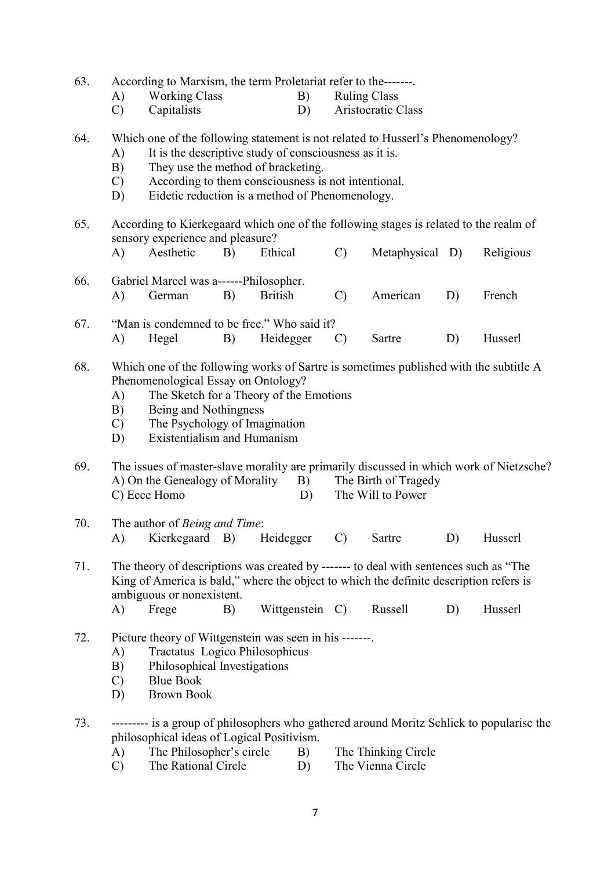| 63.<br>According to Marxism, the term Proletariat refer to the------- |                                 |                                                                                                                                                                                                                                                                                                                            |    |                 |          |                     |                                           |    |                                                                                           |
|-----------------------------------------------------------------------|---------------------------------|----------------------------------------------------------------------------------------------------------------------------------------------------------------------------------------------------------------------------------------------------------------------------------------------------------------------------|----|-----------------|----------|---------------------|-------------------------------------------|----|-------------------------------------------------------------------------------------------|
|                                                                       | A)                              | <b>Working Class</b>                                                                                                                                                                                                                                                                                                       |    |                 | B)       | <b>Ruling Class</b> |                                           |    |                                                                                           |
|                                                                       | $\mathcal{C}$                   | Capitalists                                                                                                                                                                                                                                                                                                                |    | D)              |          |                     | Aristocratic Class                        |    |                                                                                           |
| 64.                                                                   | A)<br>B)<br>$\mathcal{C}$<br>D) | Which one of the following statement is not related to Husserl's Phenomenology?<br>It is the descriptive study of consciousness as it is.<br>They use the method of bracketing.<br>According to them consciousness is not intentional.<br>Eidetic reduction is a method of Phenomenology.                                  |    |                 |          |                     |                                           |    |                                                                                           |
| 65.                                                                   |                                 | According to Kierkegaard which one of the following stages is related to the realm of<br>sensory experience and pleasure?                                                                                                                                                                                                  |    |                 |          |                     |                                           |    |                                                                                           |
|                                                                       | A)                              | Aesthetic                                                                                                                                                                                                                                                                                                                  | B) | Ethical         |          | $\mathcal{C}$       | Metaphysical D)                           |    | Religious                                                                                 |
| 66.                                                                   | A)                              | Gabriel Marcel was a------Philosopher.<br>German                                                                                                                                                                                                                                                                           | B) | <b>British</b>  |          | $\mathcal{C}$       | American                                  | D) | French                                                                                    |
|                                                                       |                                 |                                                                                                                                                                                                                                                                                                                            |    |                 |          |                     |                                           |    |                                                                                           |
| 67.                                                                   |                                 | "Man is condemned to be free." Who said it?                                                                                                                                                                                                                                                                                |    |                 |          |                     |                                           |    |                                                                                           |
|                                                                       | A)                              | Hegel                                                                                                                                                                                                                                                                                                                      | B) | Heidegger       |          | $\mathcal{C}$       | Sartre                                    | D) | Husserl                                                                                   |
| 68.<br>69.                                                            | A)<br>B)<br>$\mathcal{C}$<br>D) | Which one of the following works of Sartre is sometimes published with the subtitle A<br>Phenomenological Essay on Ontology?<br>The Sketch for a Theory of the Emotions<br>Being and Nothingness<br>The Psychology of Imagination<br><b>Existentialism and Humanism</b><br>A) On the Genealogy of Morality<br>C) Ecce Homo |    |                 | B)<br>D) |                     | The Birth of Tragedy<br>The Will to Power |    | The issues of master-slave morality are primarily discussed in which work of Nietzsche?   |
| 70.                                                                   | A)                              | The author of Being and Time:<br>Kierkegaard B) Heidegger                                                                                                                                                                                                                                                                  |    |                 |          |                     | C) Sartre                                 | D) | Husserl                                                                                   |
| 71.                                                                   | A)                              | The theory of descriptions was created by ------- to deal with sentences such as "The<br>King of America is bald," where the object to which the definite description refers is<br>ambiguous or nonexistent.<br>Frege                                                                                                      | B) | Wittgenstein C) |          |                     | Russell                                   | D) | Husserl                                                                                   |
| 72.                                                                   | A)<br>B)<br>$\mathcal{C}$<br>D) | Picture theory of Wittgenstein was seen in his -------<br>Tractatus Logico Philosophicus<br>Philosophical Investigations<br><b>Blue Book</b><br><b>Brown Book</b>                                                                                                                                                          |    |                 |          |                     |                                           |    |                                                                                           |
| 73.                                                                   | A)<br>$\mathcal{C}$             | philosophical ideas of Logical Positivism.<br>The Philosopher's circle<br>The Rational Circle                                                                                                                                                                                                                              |    | B)              | D)       |                     | The Thinking Circle<br>The Vienna Circle  |    | --------- is a group of philosophers who gathered around Moritz Schlick to popularise the |

7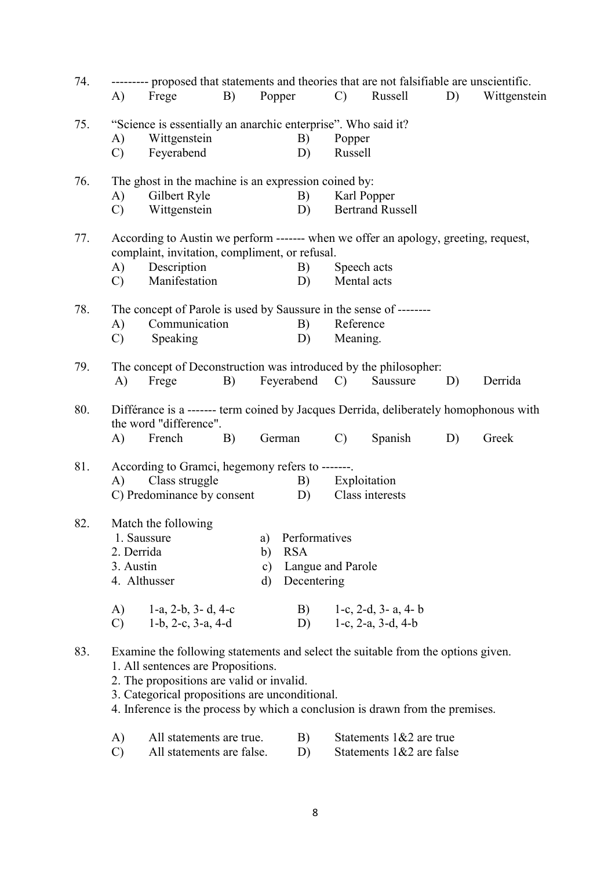| 74. | A)                            | --------- proposed that statements and theories that are not falsifiable are unscientific.<br>Frege                                                                                                                                                                                                                          | $\mathbf{B}$ )                                                   |                           | Popper                                                             | $\mathbf{C}$                                                                                | Russell                                             | D) | Wittgenstein |  |
|-----|-------------------------------|------------------------------------------------------------------------------------------------------------------------------------------------------------------------------------------------------------------------------------------------------------------------------------------------------------------------------|------------------------------------------------------------------|---------------------------|--------------------------------------------------------------------|---------------------------------------------------------------------------------------------|-----------------------------------------------------|----|--------------|--|
| 75. | A)<br>$\mathcal{C}$           | "Science is essentially an anarchic enterprise". Who said it?<br>Wittgenstein<br>Feyerabend                                                                                                                                                                                                                                  |                                                                  |                           | B)<br>D)                                                           | Popper<br>Russell                                                                           |                                                     |    |              |  |
| 76. | A)<br>$\mathcal{C}$           | Gilbert Ryle<br>Wittgenstein                                                                                                                                                                                                                                                                                                 | The ghost in the machine is an expression coined by:<br>B)<br>D) |                           |                                                                    |                                                                                             | Karl Popper<br><b>Bertrand Russell</b>              |    |              |  |
| 77. | A)<br>$\mathbf{C}$            | According to Austin we perform ------- when we offer an apology, greeting, request,<br>complaint, invitation, compliment, or refusal.<br>Description<br>B)<br>Manifestation<br>D)                                                                                                                                            |                                                                  |                           |                                                                    |                                                                                             | Speech acts<br>Mental acts                          |    |              |  |
| 78. | A)<br>$\mathcal{C}$           | Communication<br>Speaking                                                                                                                                                                                                                                                                                                    |                                                                  |                           | B)<br>D)                                                           | The concept of Parole is used by Saussure in the sense of --------<br>Reference<br>Meaning. |                                                     |    |              |  |
| 79. | A)                            | The concept of Deconstruction was introduced by the philosopher:<br>Frege                                                                                                                                                                                                                                                    | B)                                                               |                           | Feyerabend C)                                                      |                                                                                             | Saussure                                            | D) | Derrida      |  |
| 80. | A)                            | Différance is a ------- term coined by Jacques Derrida, deliberately homophonous with<br>the word "difference".<br>French                                                                                                                                                                                                    | B)                                                               |                           | German                                                             | $\mathcal{C}$                                                                               | Spanish                                             | D) | Greek        |  |
| 81. | A)                            | According to Gramci, hegemony refers to -------.<br>Class struggle<br>C) Predominance by consent                                                                                                                                                                                                                             |                                                                  |                           | B)<br>D)                                                           |                                                                                             | Exploitation<br>Class interests                     |    |              |  |
| 82. | 2. Derrida<br>3. Austin<br>A) | Match the following<br>1. Saussure<br>4. Althusser<br>1-a, 2-b, 3-d, 4-c                                                                                                                                                                                                                                                     |                                                                  | b)<br>$\mathbf{c})$<br>d) | a) Performatives<br><b>RSA</b><br>Langue and Parole<br>Decentering |                                                                                             | B) $1-c$ , 2-d, 3-a, 4-b                            |    |              |  |
| 83. | $\mathcal{C}$                 | 1-b, 2-c, 3-a, 4-d<br>Examine the following statements and select the suitable from the options given.<br>1. All sentences are Propositions.<br>2. The propositions are valid or invalid.<br>3. Categorical propositions are unconditional.<br>4. Inference is the process by which a conclusion is drawn from the premises. |                                                                  |                           | D)                                                                 |                                                                                             | 1-c, $2-a$ , $3-d$ , $4-b$                          |    |              |  |
|     | A)<br>$\mathcal{C}$           | All statements are true.<br>All statements are false.                                                                                                                                                                                                                                                                        |                                                                  |                           | B)<br>D)                                                           |                                                                                             | Statements 1&2 are true<br>Statements 1&2 are false |    |              |  |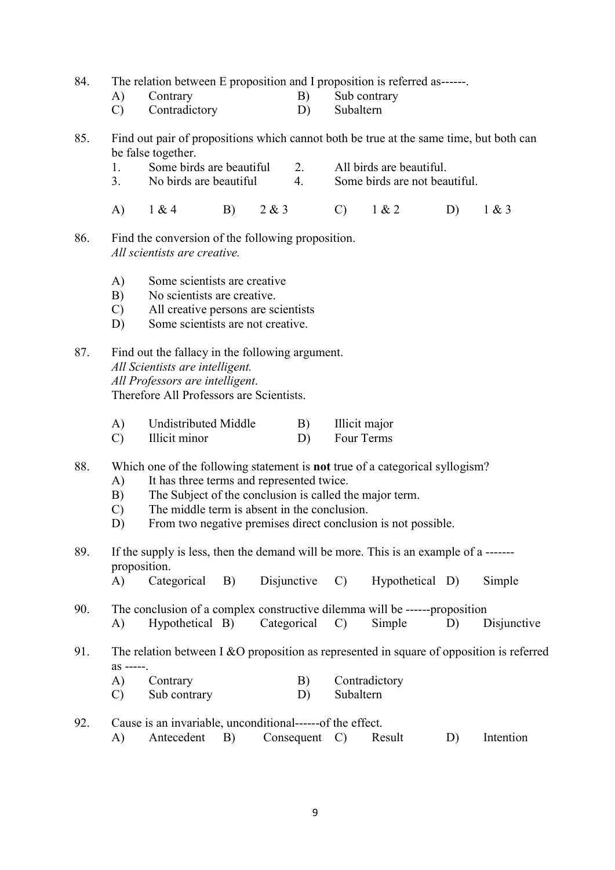84. The relation between E proposition and I proposition is referred as------.

- A) Contrary B) Sub contrary
	- C) Contradictory D) Subaltern

85. Find out pair of propositions which cannot both be true at the same time, but both can be false together.

- 1. Some birds are beautiful 2. All birds are beautiful.
- 3. No birds are beautiful 4. Some birds are not beautiful.
- A) 1 & 4 B) 2 & 3 C) 1 & 2 D) 1 & 3
- 86. Find the conversion of the following proposition. All scientists are creative.
	- A) Some scientists are creative
	- B) No scientists are creative.
	- C) All creative persons are scientists
	- D) Some scientists are not creative.

87. Find out the fallacy in the following argument. All Scientists are intelligent. All Professors are intelligent. Therefore All Professors are Scientists.

| Undistributed Middle | Illicit major |
|----------------------|---------------|
|                      |               |

C) Illicit minor D) Four Terms

88. Which one of the following statement is not true of a categorical syllogism?

- A) It has three terms and represented twice.
- B) The Subject of the conclusion is called the major term.
- C) The middle term is absent in the conclusion.
- D) From two negative premises direct conclusion is not possible.
- 89. If the supply is less, then the demand will be more. This is an example of a ------ proposition.
	- A) Categorical B) Disjunctive C) Hypothetical D) Simple
- 90. The conclusion of a complex constructive dilemma will be ------proposition A) Hypothetical B) Categorical C) Simple D) Disjunctive
- 91. The relation between I &O proposition as represented in square of opposition is referred as -----.
	- A) Contrary B) Contradictory
	- C) Sub contrary D) Subaltern
- 92. Cause is an invariable, unconditional------of the effect. A) Antecedent B) Consequent C) Result D) Intention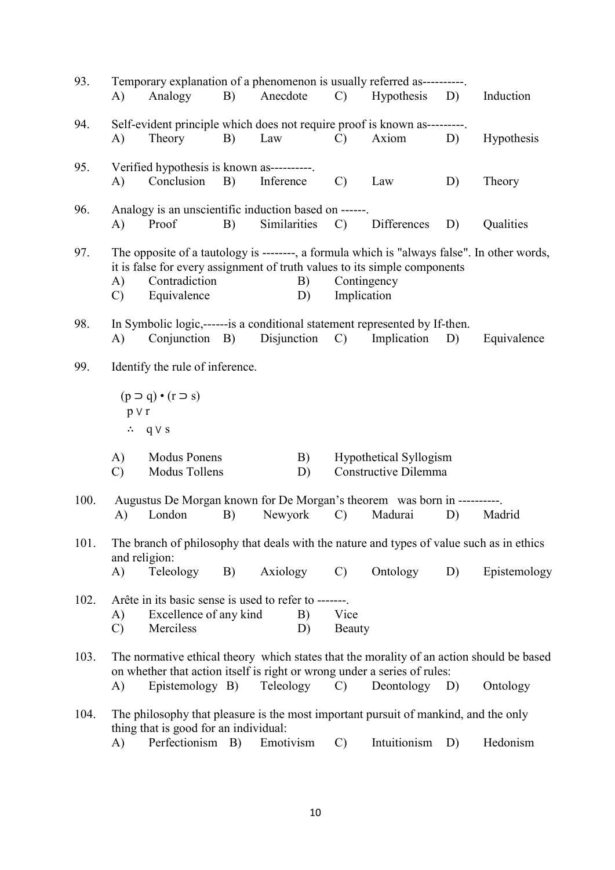| 93.  | A)                  | Temporary explanation of a phenomenon is usually referred as----------.<br>Analogy                                                                                                                       | B) | Anecdote     |          |                            | C) Hypothesis D)                               |    | Induction                                                                                            |
|------|---------------------|----------------------------------------------------------------------------------------------------------------------------------------------------------------------------------------------------------|----|--------------|----------|----------------------------|------------------------------------------------|----|------------------------------------------------------------------------------------------------------|
| 94.  | A)                  | Self-evident principle which does not require proof is known as---------.<br>Theory                                                                                                                      | B) | Law          |          | $\mathcal{C}$              | Axiom                                          | D) | Hypothesis                                                                                           |
| 95.  | A)                  | Verified hypothesis is known as----------.<br>Conclusion B)                                                                                                                                              |    | Inference    |          | $\mathcal{C}$              | Law                                            | D) | Theory                                                                                               |
| 96.  | A)                  | Analogy is an unscientific induction based on ------.<br>Proof                                                                                                                                           | B) | Similarities |          |                            | C) Differences                                 | D) | Qualities                                                                                            |
| 97.  | A)<br>$\mathcal{C}$ | The opposite of a tautology is --------, a formula which is "always false". In other words,<br>it is false for every assignment of truth values to its simple components<br>Contradiction<br>Equivalence |    |              | B)<br>D) | Contingency<br>Implication |                                                |    |                                                                                                      |
| 98.  | A)                  | In Symbolic logic,-------is a conditional statement represented by If-then.<br>Conjunction B)                                                                                                            |    | Disjunction  |          | $\mathcal{C}$              | Implication                                    | D) | Equivalence                                                                                          |
| 99.  |                     | Identify the rule of inference.                                                                                                                                                                          |    |              |          |                            |                                                |    |                                                                                                      |
|      | $p \vee r$          | $(p \supset q) \cdot (r \supset s)$<br>$\therefore$ q $\vee$ s                                                                                                                                           |    |              |          |                            |                                                |    |                                                                                                      |
|      | A)<br>$\mathcal{C}$ | <b>Modus Ponens</b><br>Modus Tollens                                                                                                                                                                     |    |              | B)<br>D) |                            | Hypothetical Syllogism<br>Constructive Dilemma |    |                                                                                                      |
| 100. |                     | Augustus De Morgan known for De Morgan's theorem was born in ----------                                                                                                                                  |    |              |          |                            |                                                |    |                                                                                                      |
|      | A)                  | London                                                                                                                                                                                                   | B) | Newyork      |          | $\mathcal{C}$              | Madurai                                        | D) | Madrid                                                                                               |
| 101. | and religion:       | The branch of philosophy that deals with the nature and types of value such as in ethics                                                                                                                 |    |              |          |                            |                                                |    |                                                                                                      |
|      | A)                  | Teleology                                                                                                                                                                                                | B) | Axiology     |          | $\mathcal{C}$              | Ontology                                       | D) | Epistemology                                                                                         |
| 102. | A)<br>$\mathcal{C}$ | Arête in its basic sense is used to refer to -------<br>Excellence of any kind<br>Merciless                                                                                                              |    |              | B)<br>D) | Vice<br>Beauty             |                                                |    |                                                                                                      |
| 103. | A)                  | on whether that action itself is right or wrong under a series of rules:<br>Epistemology B)                                                                                                              |    | Teleology    |          | $\mathcal{C}$              | Deontology D)                                  |    | The normative ethical theory which states that the morality of an action should be based<br>Ontology |
| 104. |                     | The philosophy that pleasure is the most important pursuit of mankind, and the only<br>thing that is good for an individual:                                                                             |    |              |          |                            |                                                |    |                                                                                                      |
|      | A)                  | Perfectionism B)                                                                                                                                                                                         |    | Emotivism    |          | $\mathcal{C}$              | Intuitionism                                   | D) | Hedonism                                                                                             |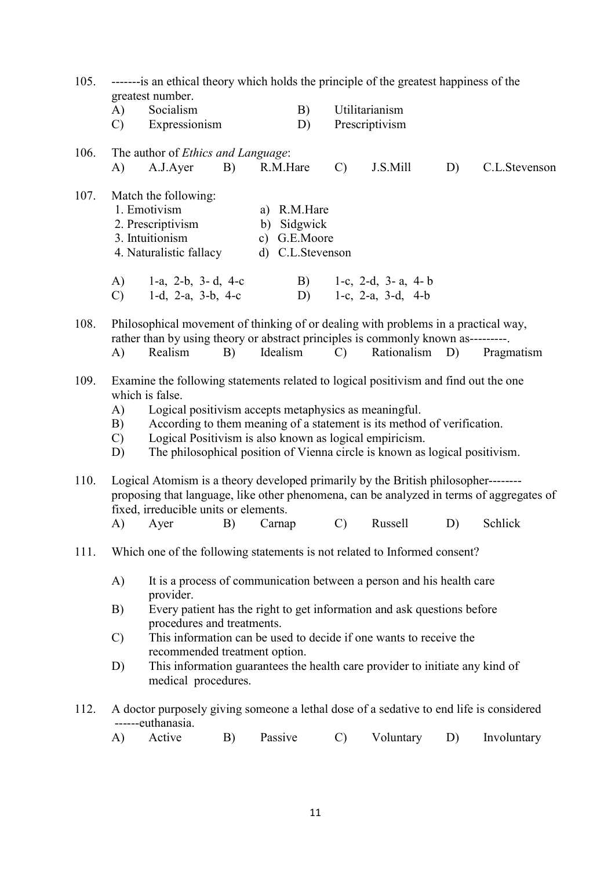| 105. | --------is an ethical theory which holds the principle of the greatest happiness of the<br>greatest number.          |                                                                                                                                                                                                                                                                                                                                                                                      |    |                                                                |                 |                                                                              |    |                                                                                          |  |  |
|------|----------------------------------------------------------------------------------------------------------------------|--------------------------------------------------------------------------------------------------------------------------------------------------------------------------------------------------------------------------------------------------------------------------------------------------------------------------------------------------------------------------------------|----|----------------------------------------------------------------|-----------------|------------------------------------------------------------------------------|----|------------------------------------------------------------------------------------------|--|--|
|      | A)                                                                                                                   | Socialism                                                                                                                                                                                                                                                                                                                                                                            |    | B)                                                             |                 | Utilitarianism                                                               |    |                                                                                          |  |  |
|      | $\mathcal{C}$                                                                                                        | Expressionism                                                                                                                                                                                                                                                                                                                                                                        |    | D)                                                             |                 | Prescriptivism                                                               |    |                                                                                          |  |  |
| 106. |                                                                                                                      | The author of Ethics and Language:                                                                                                                                                                                                                                                                                                                                                   |    |                                                                |                 |                                                                              |    |                                                                                          |  |  |
|      | A)                                                                                                                   | A.J.Ayer                                                                                                                                                                                                                                                                                                                                                                             | B) | R.M.Hare                                                       | $\mathcal{C}$   | J.S.Mill                                                                     | D) | C.L.Stevenson                                                                            |  |  |
| 107. |                                                                                                                      | Match the following:<br>1. Emotivism<br>2. Prescriptivism<br>3. Intuitionism<br>4. Naturalistic fallacy                                                                                                                                                                                                                                                                              |    | a) R.M.Hare<br>b) Sidgwick<br>c) G.E.Moore<br>d) C.L.Stevenson |                 |                                                                              |    |                                                                                          |  |  |
|      | A)<br>$\mathcal{C}$ )                                                                                                | 1-a, 2-b, 3-d, 4-c<br>1-d, 2-a, 3-b, 4-c                                                                                                                                                                                                                                                                                                                                             |    | $\mathbf{B}$ )<br>D)                                           |                 | 1-c, 2-d, 3-a, 4-b<br>1-c, 2-a, 3-d, 4-b                                     |    |                                                                                          |  |  |
| 108. | A)                                                                                                                   | Philosophical movement of thinking of or dealing with problems in a practical way,<br>rather than by using theory or abstract principles is commonly known as---------.<br>Realism                                                                                                                                                                                                   | B) | Idealism                                                       | $\mathcal{C}$ ) | Rationalism D)                                                               |    | Pragmatism                                                                               |  |  |
| 109. | A)<br>B)<br>$\mathbf{C}$<br>D)                                                                                       | Examine the following statements related to logical positivism and find out the one<br>which is false.<br>Logical positivism accepts metaphysics as meaningful.<br>According to them meaning of a statement is its method of verification.<br>Logical Positivism is also known as logical empiricism.<br>The philosophical position of Vienna circle is known as logical positivism. |    |                                                                |                 |                                                                              |    |                                                                                          |  |  |
| 110. |                                                                                                                      | Logical Atomism is a theory developed primarily by the British philosopher--------<br>fixed, irreducible units or elements.                                                                                                                                                                                                                                                          |    |                                                                |                 |                                                                              |    | proposing that language, like other phenomena, can be analyzed in terms of aggregates of |  |  |
|      | A)                                                                                                                   | Ayer                                                                                                                                                                                                                                                                                                                                                                                 | B) | Carnap                                                         | $\mathbf{C}$ )  | Russell                                                                      | D) | Schlick                                                                                  |  |  |
| 111. |                                                                                                                      | Which one of the following statements is not related to Informed consent?                                                                                                                                                                                                                                                                                                            |    |                                                                |                 |                                                                              |    |                                                                                          |  |  |
|      | A)                                                                                                                   | provider.                                                                                                                                                                                                                                                                                                                                                                            |    |                                                                |                 | It is a process of communication between a person and his health care        |    |                                                                                          |  |  |
|      | B)                                                                                                                   | Every patient has the right to get information and ask questions before<br>procedures and treatments.                                                                                                                                                                                                                                                                                |    |                                                                |                 |                                                                              |    |                                                                                          |  |  |
|      | This information can be used to decide if one wants to receive the<br>$\mathcal{C}$<br>recommended treatment option. |                                                                                                                                                                                                                                                                                                                                                                                      |    |                                                                |                 |                                                                              |    |                                                                                          |  |  |
|      | D)                                                                                                                   | medical procedures.                                                                                                                                                                                                                                                                                                                                                                  |    |                                                                |                 | This information guarantees the health care provider to initiate any kind of |    |                                                                                          |  |  |
| 112. |                                                                                                                      | A doctor purposely giving someone a lethal dose of a sedative to end life is considered<br>------euthanasia.                                                                                                                                                                                                                                                                         |    |                                                                |                 |                                                                              |    |                                                                                          |  |  |
|      | A)                                                                                                                   | Active                                                                                                                                                                                                                                                                                                                                                                               | B) | Passive                                                        | $\mathcal{C}$   | Voluntary                                                                    | D) | Involuntary                                                                              |  |  |